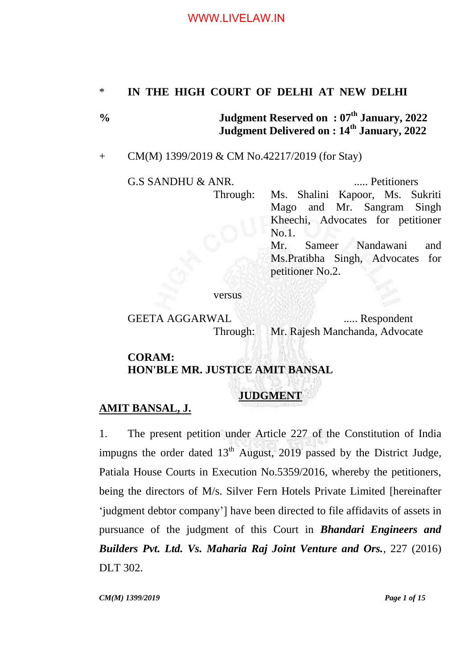## \* **IN THE HIGH COURT OF DELHI AT NEW DELHI**

**% Judgment Reserved on : 07 th January, 2022 Judgment Delivered on : 14th January, 2022**

### + CM(M) 1399/2019 & CM No.42217/2019 (for Stay)

G.S SANDHU & ANR. ..... Petitioners Through: Ms. Shalini Kapoor, Ms. Sukriti Mago and Mr. Sangram Singh Kheechi, Advocates for petitioner No.1. Mr. Sameer Nandawani and Ms.Pratibha Singh, Advocates for petitioner No.2.

versus

GEETA AGGARWAL ...... Respondent Through: Mr. Rajesh Manchanda, Advocate

#### **CORAM: HON'BLE MR. JUSTICE AMIT BANSAL**

# **JUDGMENT**

#### **AMIT BANSAL, J.**

1. The present petition under Article 227 of the Constitution of India impugns the order dated  $13<sup>th</sup>$  August, 2019 passed by the District Judge, Patiala House Courts in Execution No.5359/2016, whereby the petitioners, being the directors of M/s. Silver Fern Hotels Private Limited [hereinafter 'judgment debtor company'] have been directed to file affidavits of assets in pursuance of the judgment of this Court in *Bhandari Engineers and Builders Pvt. Ltd. Vs. Maharia Raj Joint Venture and Ors.*, 227 (2016) DLT 302.

*CM(M) 1399/2019 Page 1 of 15*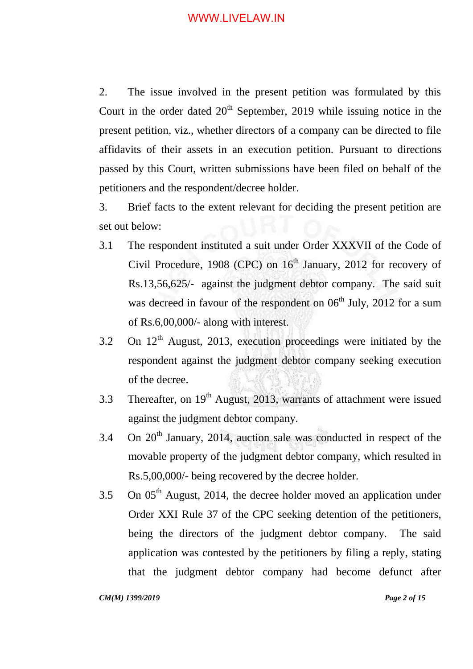2. The issue involved in the present petition was formulated by this Court in the order dated  $20<sup>th</sup>$  September, 2019 while issuing notice in the present petition, viz., whether directors of a company can be directed to file affidavits of their assets in an execution petition. Pursuant to directions passed by this Court, written submissions have been filed on behalf of the petitioners and the respondent/decree holder.

3. Brief facts to the extent relevant for deciding the present petition are set out below:

- 3.1 The respondent instituted a suit under Order XXXVII of the Code of Civil Procedure, 1908 (CPC) on  $16<sup>th</sup>$  January, 2012 for recovery of Rs.13,56,625/- against the judgment debtor company. The said suit was decreed in favour of the respondent on  $06<sup>th</sup>$  July, 2012 for a sum of Rs.6,00,000/- along with interest.
- 3.2 On  $12<sup>th</sup>$  August, 2013, execution proceedings were initiated by the respondent against the judgment debtor company seeking execution of the decree.
- 3.3 Thereafter, on  $19<sup>th</sup>$  August, 2013, warrants of attachment were issued against the judgment debtor company.
- 3.4 On  $20<sup>th</sup>$  January, 2014, auction sale was conducted in respect of the movable property of the judgment debtor company, which resulted in Rs.5,00,000/- being recovered by the decree holder.
- 3.5 On  $05<sup>th</sup>$  August, 2014, the decree holder moved an application under Order XXI Rule 37 of the CPC seeking detention of the petitioners, being the directors of the judgment debtor company. The said application was contested by the petitioners by filing a reply, stating that the judgment debtor company had become defunct after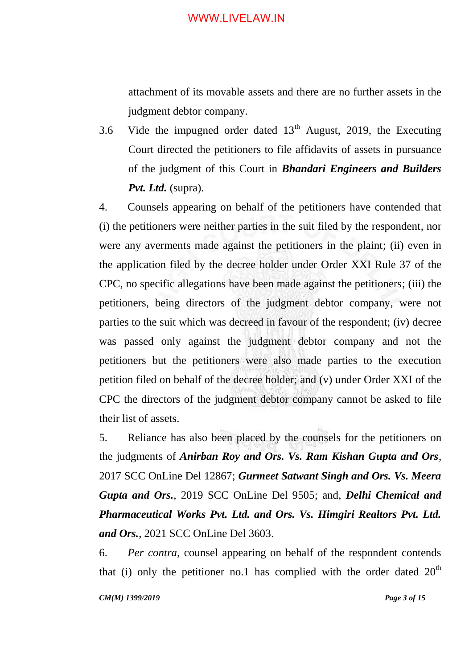attachment of its movable assets and there are no further assets in the judgment debtor company.

3.6 Vide the impugned order dated  $13<sup>th</sup>$  August, 2019, the Executing Court directed the petitioners to file affidavits of assets in pursuance of the judgment of this Court in *Bhandari Engineers and Builders Pvt. Ltd.* (supra).

4. Counsels appearing on behalf of the petitioners have contended that (i) the petitioners were neither parties in the suit filed by the respondent, nor were any averments made against the petitioners in the plaint; (ii) even in the application filed by the decree holder under Order XXI Rule 37 of the CPC, no specific allegations have been made against the petitioners; (iii) the petitioners, being directors of the judgment debtor company, were not parties to the suit which was decreed in favour of the respondent; (iv) decree was passed only against the judgment debtor company and not the petitioners but the petitioners were also made parties to the execution petition filed on behalf of the decree holder; and (v) under Order XXI of the CPC the directors of the judgment debtor company cannot be asked to file their list of assets.

5. Reliance has also been placed by the counsels for the petitioners on the judgments of *Anirban Roy and Ors. Vs. Ram Kishan Gupta and Ors*, 2017 SCC OnLine Del 12867; *Gurmeet Satwant Singh and Ors. Vs. Meera Gupta and Ors.*, 2019 SCC OnLine Del 9505; and, *Delhi Chemical and Pharmaceutical Works Pvt. Ltd. and Ors. Vs. Himgiri Realtors Pvt. Ltd. and Ors.*, 2021 SCC OnLine Del 3603.

6. *Per contra*, counsel appearing on behalf of the respondent contends that (i) only the petitioner no.1 has complied with the order dated  $20<sup>th</sup>$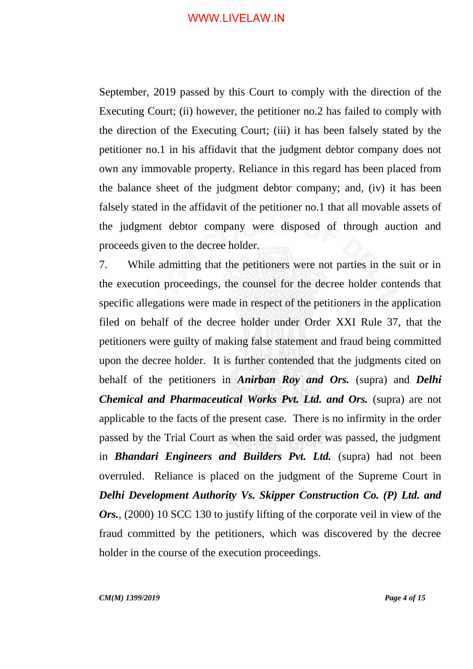September, 2019 passed by this Court to comply with the direction of the Executing Court; (ii) however, the petitioner no.2 has failed to comply with the direction of the Executing Court; (iii) it has been falsely stated by the petitioner no.1 in his affidavit that the judgment debtor company does not own any immovable property. Reliance in this regard has been placed from the balance sheet of the judgment debtor company; and, (iv) it has been falsely stated in the affidavit of the petitioner no.1 that all movable assets of the judgment debtor company were disposed of through auction and proceeds given to the decree holder.

7. While admitting that the petitioners were not parties in the suit or in the execution proceedings, the counsel for the decree holder contends that specific allegations were made in respect of the petitioners in the application filed on behalf of the decree holder under Order XXI Rule 37, that the petitioners were guilty of making false statement and fraud being committed upon the decree holder. It is further contended that the judgments cited on behalf of the petitioners in *Anirban Roy and Ors.* (supra) and *Delhi Chemical and Pharmaceutical Works Pvt. Ltd. and Ors.* (supra) are not applicable to the facts of the present case. There is no infirmity in the order passed by the Trial Court as when the said order was passed, the judgment in *Bhandari Engineers and Builders Pvt. Ltd.* (supra) had not been overruled. Reliance is placed on the judgment of the Supreme Court in *Delhi Development Authority Vs. Skipper Construction Co. (P) Ltd. and Ors.*, (2000) 10 SCC 130 to justify lifting of the corporate veil in view of the fraud committed by the petitioners, which was discovered by the decree holder in the course of the execution proceedings.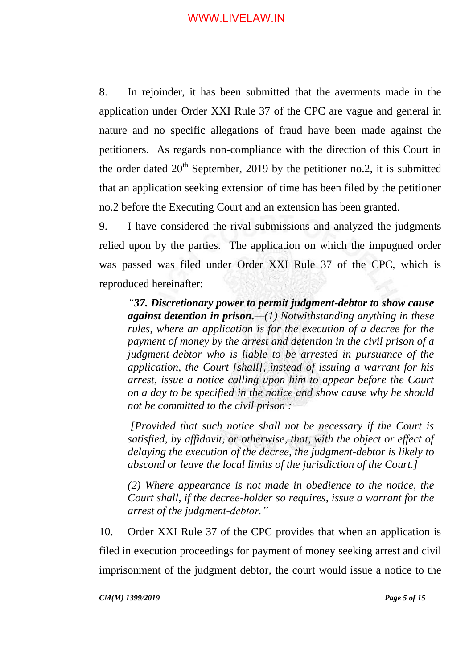8. In rejoinder, it has been submitted that the averments made in the application under Order XXI Rule 37 of the CPC are vague and general in nature and no specific allegations of fraud have been made against the petitioners. As regards non-compliance with the direction of this Court in the order dated  $20<sup>th</sup>$  September, 2019 by the petitioner no.2, it is submitted that an application seeking extension of time has been filed by the petitioner no.2 before the Executing Court and an extension has been granted.

9. I have considered the rival submissions and analyzed the judgments relied upon by the parties. The application on which the impugned order was passed was filed under Order XXI Rule 37 of the CPC, which is reproduced hereinafter:

*"37. Discretionary power to permit judgment-debtor to show cause against detention in prison.—(1) Notwithstanding anything in these rules, where an application is for the execution of a decree for the payment of money by the arrest and detention in the civil prison of a judgment-debtor who is liable to be arrested in pursuance of the application, the Court [shall], instead of issuing a warrant for his arrest, issue a notice calling upon him to appear before the Court on a day to be specified in the notice and show cause why he should not be committed to the civil prison :* 

*[Provided that such notice shall not be necessary if the Court is satisfied, by affidavit, or otherwise, that, with the object or effect of delaying the execution of the decree, the judgment-debtor is likely to abscond or leave the local limits of the jurisdiction of the Court.]* 

*(2) Where appearance is not made in obedience to the notice, the Court shall, if the decree-holder so requires, issue a warrant for the arrest of the judgment-debtor."*

10. Order XXI Rule 37 of the CPC provides that when an application is filed in execution proceedings for payment of money seeking arrest and civil imprisonment of the judgment debtor, the court would issue a notice to the

*CM(M) 1399/2019 Page 5 of 15*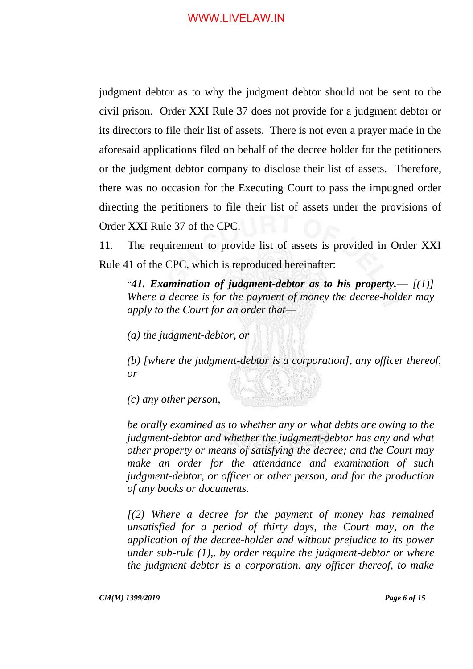judgment debtor as to why the judgment debtor should not be sent to the civil prison. Order XXI Rule 37 does not provide for a judgment debtor or its directors to file their list of assets. There is not even a prayer made in the aforesaid applications filed on behalf of the decree holder for the petitioners or the judgment debtor company to disclose their list of assets. Therefore, there was no occasion for the Executing Court to pass the impugned order directing the petitioners to file their list of assets under the provisions of Order XXI Rule 37 of the CPC.

11. The requirement to provide list of assets is provided in Order XXI Rule 41 of the CPC, which is reproduced hereinafter:

"*41. Examination of judgment-debtor as to his property.— [(1)] Where a decree is for the payment of money the decree-holder may apply to the Court for an order that—*

*(a) the judgment-debtor, or* 

*(b) [where the judgment-debtor is a corporation], any officer thereof, or* 

*(c) any other person,*

*be orally examined as to whether any or what debts are owing to the judgment-debtor and whether the judgment-debtor has any and what other property or means of satisfying the decree; and the Court may make an order for the attendance and examination of such judgment-debtor, or officer or other person, and for the production of any books or documents.* 

*[(2) Where a decree for the payment of money has remained unsatisfied for a period of thirty days, the Court may, on the application of the decree-holder and without prejudice to its power under sub-rule (1),. by order require the judgment-debtor or where the judgment-debtor is a corporation, any officer thereof, to make*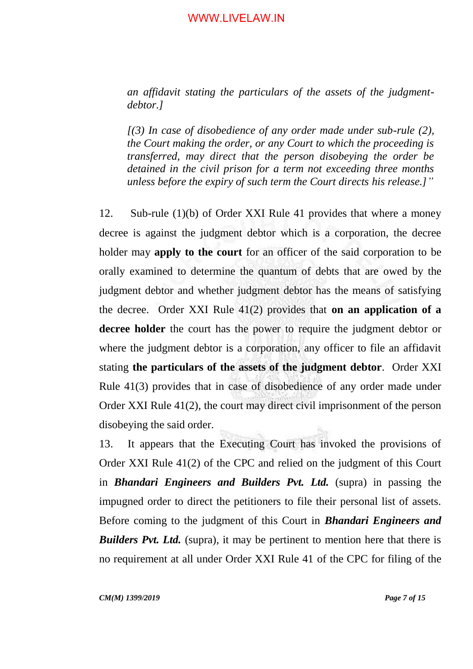*an affidavit stating the particulars of the assets of the judgmentdebtor.]*

*[(3) In case of disobedience of any order made under sub-rule (2), the Court making the order, or any Court to which the proceeding is transferred, may direct that the person disobeying the order be detained in the civil prison for a term not exceeding three months unless before the expiry of such term the Court directs his release.]"*

12. Sub-rule (1)(b) of Order XXI Rule 41 provides that where a money decree is against the judgment debtor which is a corporation, the decree holder may **apply to the court** for an officer of the said corporation to be orally examined to determine the quantum of debts that are owed by the judgment debtor and whether judgment debtor has the means of satisfying the decree. Order XXI Rule 41(2) provides that **on an application of a decree holder** the court has the power to require the judgment debtor or where the judgment debtor is a corporation, any officer to file an affidavit stating **the particulars of the assets of the judgment debtor**. Order XXI Rule 41(3) provides that in case of disobedience of any order made under Order XXI Rule 41(2), the court may direct civil imprisonment of the person disobeying the said order.

13. It appears that the Executing Court has invoked the provisions of Order XXI Rule 41(2) of the CPC and relied on the judgment of this Court in *Bhandari Engineers and Builders Pvt. Ltd.* (supra) in passing the impugned order to direct the petitioners to file their personal list of assets. Before coming to the judgment of this Court in *Bhandari Engineers and Builders Pvt. Ltd.* (supra), it may be pertinent to mention here that there is no requirement at all under Order XXI Rule 41 of the CPC for filing of the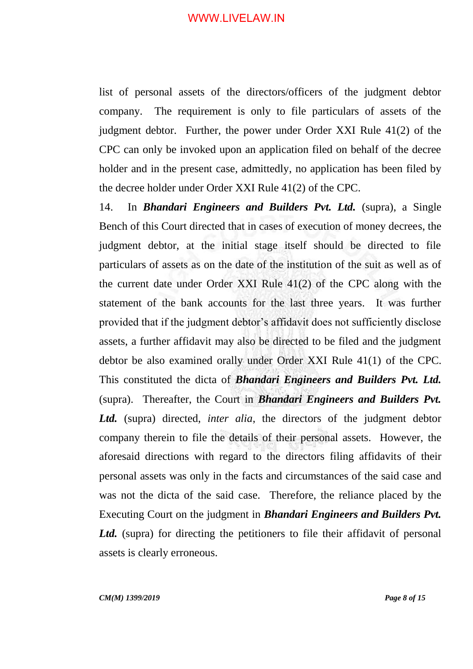list of personal assets of the directors/officers of the judgment debtor company. The requirement is only to file particulars of assets of the judgment debtor. Further, the power under Order XXI Rule 41(2) of the CPC can only be invoked upon an application filed on behalf of the decree holder and in the present case, admittedly, no application has been filed by the decree holder under Order XXI Rule 41(2) of the CPC.

14. In *Bhandari Engineers and Builders Pvt. Ltd.* (supra), a Single Bench of this Court directed that in cases of execution of money decrees, the judgment debtor, at the initial stage itself should be directed to file particulars of assets as on the date of the institution of the suit as well as of the current date under Order XXI Rule 41(2) of the CPC along with the statement of the bank accounts for the last three years. It was further provided that if the judgment debtor's affidavit does not sufficiently disclose assets, a further affidavit may also be directed to be filed and the judgment debtor be also examined orally under Order XXI Rule 41(1) of the CPC. This constituted the dicta of *Bhandari Engineers and Builders Pvt. Ltd.*  (supra). Thereafter, the Court in *Bhandari Engineers and Builders Pvt. Ltd.* (supra) directed, *inter alia*, the directors of the judgment debtor company therein to file the details of their personal assets. However, the aforesaid directions with regard to the directors filing affidavits of their personal assets was only in the facts and circumstances of the said case and was not the dicta of the said case. Therefore, the reliance placed by the Executing Court on the judgment in *Bhandari Engineers and Builders Pvt.*  Ltd. (supra) for directing the petitioners to file their affidavit of personal assets is clearly erroneous.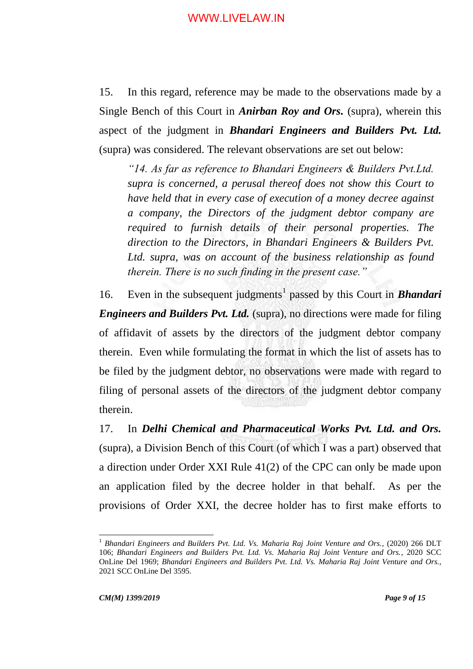15. In this regard, reference may be made to the observations made by a Single Bench of this Court in *Anirban Roy and Ors.* (supra), wherein this aspect of the judgment in *Bhandari Engineers and Builders Pvt. Ltd.*  (supra) was considered. The relevant observations are set out below:

*"14. As far as reference to Bhandari Engineers & Builders Pvt.Ltd. supra is concerned, a perusal thereof does not show this Court to have held that in every case of execution of a money decree against a company, the Directors of the judgment debtor company are required to furnish details of their personal properties. The direction to the Directors, in Bhandari Engineers & Builders Pvt. Ltd. supra, was on account of the business relationship as found therein. There is no such finding in the present case."*

16. Even in the subsequent judgments<sup>1</sup> passed by this Court in **Bhandari** *Engineers and Builders Pvt. Ltd.* (supra), no directions were made for filing of affidavit of assets by the directors of the judgment debtor company therein. Even while formulating the format in which the list of assets has to be filed by the judgment debtor, no observations were made with regard to filing of personal assets of the directors of the judgment debtor company therein.

17. In *Delhi Chemical and Pharmaceutical Works Pvt. Ltd. and Ors.*  (supra), a Division Bench of this Court (of which I was a part) observed that a direction under Order XXI Rule 41(2) of the CPC can only be made upon an application filed by the decree holder in that behalf. As per the provisions of Order XXI, the decree holder has to first make efforts to

 $\overline{a}$ 

<sup>1</sup> *Bhandari Engineers and Builders Pvt. Ltd. Vs. Maharia Raj Joint Venture and Ors.*, (2020) 266 DLT 106; *Bhandari Engineers and Builders Pvt. Ltd. Vs. Maharia Raj Joint Venture and Ors.*, 2020 SCC OnLine Del 1969; *Bhandari Engineers and Builders Pvt. Ltd. Vs. Maharia Raj Joint Venture and Ors.*, 2021 SCC OnLine Del 3595.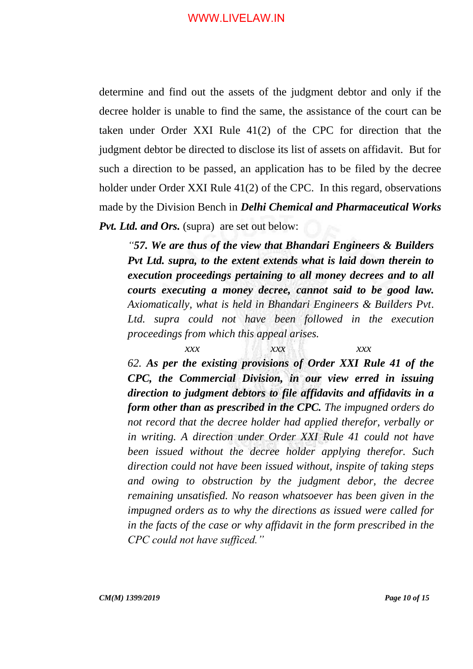determine and find out the assets of the judgment debtor and only if the decree holder is unable to find the same, the assistance of the court can be taken under Order XXI Rule 41(2) of the CPC for direction that the judgment debtor be directed to disclose its list of assets on affidavit. But for such a direction to be passed, an application has to be filed by the decree holder under Order XXI Rule 41(2) of the CPC. In this regard, observations made by the Division Bench in *Delhi Chemical and Pharmaceutical Works Pvt. Ltd. and Ors.* (supra) are set out below:

*"57. We are thus of the view that Bhandari Engineers & Builders Pvt Ltd. supra, to the extent extends what is laid down therein to execution proceedings pertaining to all money decrees and to all courts executing a money decree, cannot said to be good law. Axiomatically, what is held in Bhandari Engineers & Builders Pvt. Ltd. supra could not have been followed in the execution proceedings from which this appeal arises.*

*xxx xxx xxx 62. As per the existing provisions of Order XXI Rule 41 of the CPC, the Commercial Division, in our view erred in issuing direction to judgment debtors to file affidavits and affidavits in a form other than as prescribed in the CPC. The impugned orders do not record that the decree holder had applied therefor, verbally or in writing. A direction under Order XXI Rule 41 could not have been issued without the decree holder applying therefor. Such direction could not have been issued without, inspite of taking steps and owing to obstruction by the judgment debor, the decree remaining unsatisfied. No reason whatsoever has been given in the impugned orders as to why the directions as issued were called for in the facts of the case or why affidavit in the form prescribed in the CPC could not have sufficed."*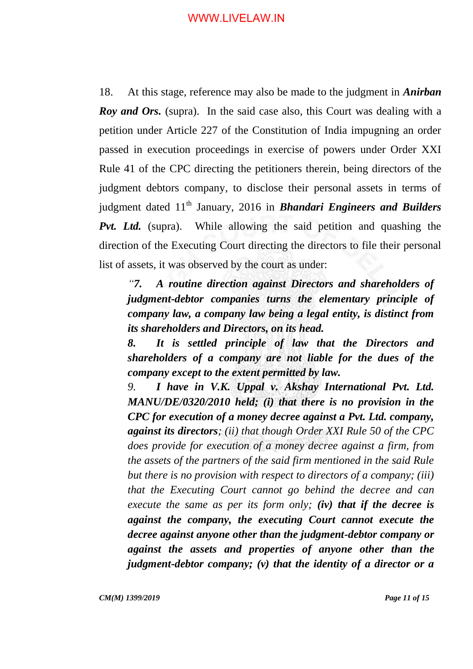18. At this stage, reference may also be made to the judgment in *Anirban Roy and Ors.* (supra). In the said case also, this Court was dealing with a petition under Article 227 of the Constitution of India impugning an order passed in execution proceedings in exercise of powers under Order XXI Rule 41 of the CPC directing the petitioners therein, being directors of the judgment debtors company, to disclose their personal assets in terms of judgment dated 11<sup>th</sup> January, 2016 in **Bhandari Engineers and Builders** *Pvt. Ltd.* (supra). While allowing the said petition and quashing the direction of the Executing Court directing the directors to file their personal list of assets, it was observed by the court as under:

*"7. A routine direction against Directors and shareholders of judgment-debtor companies turns the elementary principle of company law, a company law being a legal entity, is distinct from its shareholders and Directors, on its head.*

*8. It is settled principle of law that the Directors and shareholders of a company are not liable for the dues of the company except to the extent permitted by law.*

*9. I have in V.K. Uppal v. Akshay International Pvt. Ltd. MANU/DE/0320/2010 held; (i) that there is no provision in the CPC for execution of a money decree against a Pvt. Ltd. company, against its directors; (ii) that though Order XXI Rule 50 of the CPC does provide for execution of a money decree against a firm, from the assets of the partners of the said firm mentioned in the said Rule but there is no provision with respect to directors of a company; (iii) that the Executing Court cannot go behind the decree and can execute the same as per its form only; (iv) that if the decree is against the company, the executing Court cannot execute the decree against anyone other than the judgment-debtor company or against the assets and properties of anyone other than the judgment-debtor company; (v) that the identity of a director or a* 

*CM(M) 1399/2019 Page 11 of 15*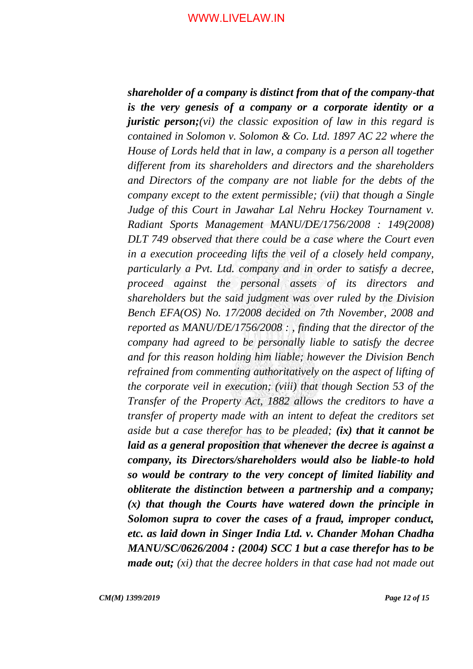*shareholder of a company is distinct from that of the company-that is the very genesis of a company or a corporate identity or a juristic person;(vi) the classic exposition of law in this regard is contained in Solomon v. Solomon & Co. Ltd. 1897 AC 22 where the House of Lords held that in law, a company is a person all together different from its shareholders and directors and the shareholders and Directors of the company are not liable for the debts of the company except to the extent permissible; (vii) that though a Single*  Judge of this Court in Jawahar Lal Nehru Hockey Tournament v. *Radiant Sports Management MANU/DE/1756/2008 : 149(2008) DLT 749 observed that there could be a case where the Court even in a execution proceeding lifts the veil of a closely held company, particularly a Pvt. Ltd. company and in order to satisfy a decree, proceed against the personal assets of its directors and shareholders but the said judgment was over ruled by the Division Bench EFA(OS) No. 17/2008 decided on 7th November, 2008 and reported as MANU/DE/1756/2008 : , finding that the director of the company had agreed to be personally liable to satisfy the decree and for this reason holding him liable; however the Division Bench refrained from commenting authoritatively on the aspect of lifting of the corporate veil in execution; (viii) that though Section 53 of the Transfer of the Property Act, 1882 allows the creditors to have a transfer of property made with an intent to defeat the creditors set aside but a case therefor has to be pleaded; (ix) that it cannot be laid as a general proposition that whenever the decree is against a company, its Directors/shareholders would also be liable-to hold so would be contrary to the very concept of limited liability and obliterate the distinction between a partnership and a company; (x) that though the Courts have watered down the principle in Solomon supra to cover the cases of a fraud, improper conduct, etc. as laid down in Singer India Ltd. v. Chander Mohan Chadha MANU/SC/0626/2004 : (2004) SCC 1 but a case therefor has to be made out; (xi) that the decree holders in that case had not made out*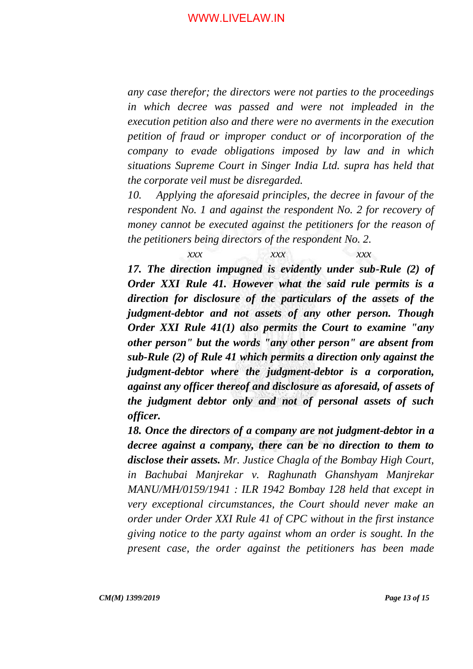*any case therefor; the directors were not parties to the proceedings in which decree was passed and were not impleaded in the execution petition also and there were no averments in the execution petition of fraud or improper conduct or of incorporation of the company to evade obligations imposed by law and in which situations Supreme Court in Singer India Ltd. supra has held that the corporate veil must be disregarded.*

*10. Applying the aforesaid principles, the decree in favour of the respondent No. 1 and against the respondent No. 2 for recovery of money cannot be executed against the petitioners for the reason of the petitioners being directors of the respondent No. 2.*

*xxx xxx xxx 17. The direction impugned is evidently under sub-Rule (2) of Order XXI Rule 41. However what the said rule permits is a direction for disclosure of the particulars of the assets of the judgment-debtor and not assets of any other person. Though Order XXI Rule 41(1) also permits the Court to examine "any other person" but the words "any other person" are absent from sub-Rule (2) of Rule 41 which permits a direction only against the judgment-debtor where the judgment-debtor is a corporation, against any officer thereof and disclosure as aforesaid, of assets of the judgment debtor only and not of personal assets of such officer.*

*18. Once the directors of a company are not judgment-debtor in a decree against a company, there can be no direction to them to disclose their assets. Mr. Justice Chagla of the Bombay High Court, in Bachubai Manjrekar v. Raghunath Ghanshyam Manjrekar MANU/MH/0159/1941 : ILR 1942 Bombay 128 held that except in very exceptional circumstances, the Court should never make an order under Order XXI Rule 41 of CPC without in the first instance giving notice to the party against whom an order is sought. In the present case, the order against the petitioners has been made*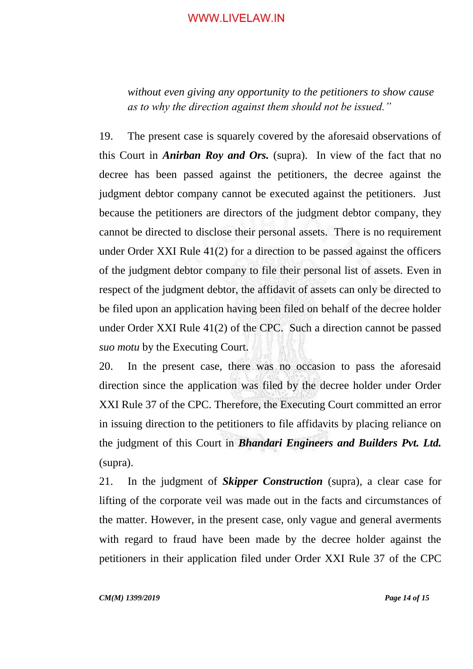*without even giving any opportunity to the petitioners to show cause as to why the direction against them should not be issued."*

19. The present case is squarely covered by the aforesaid observations of this Court in *Anirban Roy and Ors.* (supra). In view of the fact that no decree has been passed against the petitioners, the decree against the judgment debtor company cannot be executed against the petitioners. Just because the petitioners are directors of the judgment debtor company, they cannot be directed to disclose their personal assets. There is no requirement under Order XXI Rule 41(2) for a direction to be passed against the officers of the judgment debtor company to file their personal list of assets. Even in respect of the judgment debtor, the affidavit of assets can only be directed to be filed upon an application having been filed on behalf of the decree holder under Order XXI Rule 41(2) of the CPC. Such a direction cannot be passed *suo motu* by the Executing Court.

20. In the present case, there was no occasion to pass the aforesaid direction since the application was filed by the decree holder under Order XXI Rule 37 of the CPC. Therefore, the Executing Court committed an error in issuing direction to the petitioners to file affidavits by placing reliance on the judgment of this Court in *Bhandari Engineers and Builders Pvt. Ltd.*  (supra).

21. In the judgment of *Skipper Construction* (supra), a clear case for lifting of the corporate veil was made out in the facts and circumstances of the matter. However, in the present case, only vague and general averments with regard to fraud have been made by the decree holder against the petitioners in their application filed under Order XXI Rule 37 of the CPC